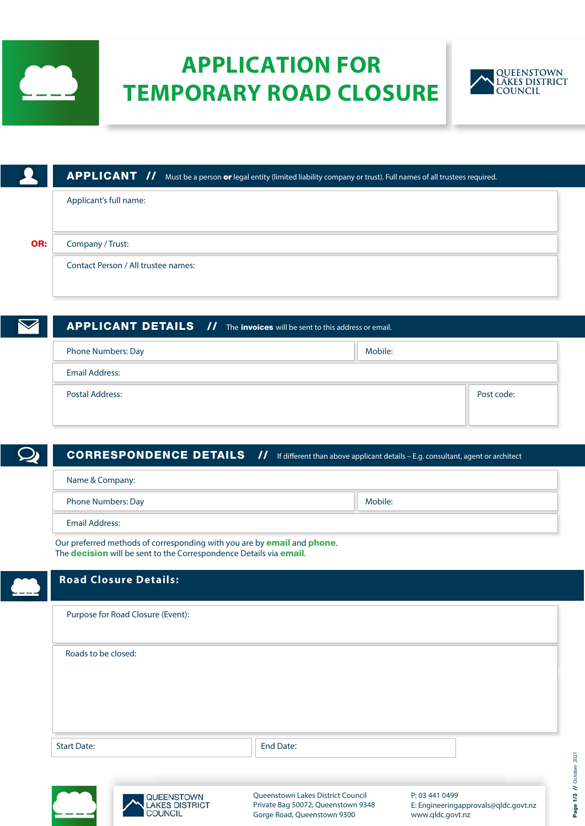

# **APPLICATION FOR TEMPORARY ROAD CLOSURE**



|     | <b>APPLICANT //</b> Must be a person or legal entity (limited liability company or trust). Full names of all trustees required. |
|-----|---------------------------------------------------------------------------------------------------------------------------------|
|     | Applicant's full name:                                                                                                          |
|     |                                                                                                                                 |
| OR: | Company / Trust:                                                                                                                |
|     | Contact Person / All trustee names:                                                                                             |
|     |                                                                                                                                 |

| <b>APPLICANT DETAILS //</b> The invoices will be sent to this address or email. |         |            |
|---------------------------------------------------------------------------------|---------|------------|
| Phone Numbers: Day                                                              | Mobile: |            |
| <b>Email Address:</b>                                                           |         |            |
| Postal Address:                                                                 |         | Post code: |
|                                                                                 |         |            |

| <b>CORRESPONDENCE DETAILS //</b>                                                                                                                                            | If different than above applicant details - E.g. consultant, agent or architect |
|-----------------------------------------------------------------------------------------------------------------------------------------------------------------------------|---------------------------------------------------------------------------------|
| Name & Company:                                                                                                                                                             |                                                                                 |
| <b>Phone Numbers: Day</b>                                                                                                                                                   | Mobile:                                                                         |
| Email Address:                                                                                                                                                              |                                                                                 |
| Our preferred methods of corresponding with you are by <b>email</b> and <b>phone</b> .<br>The <b>decision</b> will be sent to the Correspondence Details via <i>email</i> . |                                                                                 |

| <b>Road Closure Details:</b>                         |                                                                                                        |                                                                            |
|------------------------------------------------------|--------------------------------------------------------------------------------------------------------|----------------------------------------------------------------------------|
| Purpose for Road Closure (Event):                    |                                                                                                        |                                                                            |
| Roads to be closed:                                  |                                                                                                        |                                                                            |
| <b>Start Date:</b>                                   | End Date:                                                                                              |                                                                            |
| QUEENSTOWN<br><b>AKES DISTRICT</b><br><b>COUNCIL</b> | Queenstown Lakes District Council<br>Private Bag 50072, Queenstown 9348<br>Gorge Road, Queenstown 9300 | P: 03 441 0499<br>E: Engineeringapprovals@qldc.govt.nz<br>www.gldc.govt.nz |

www.qldc.govt.nz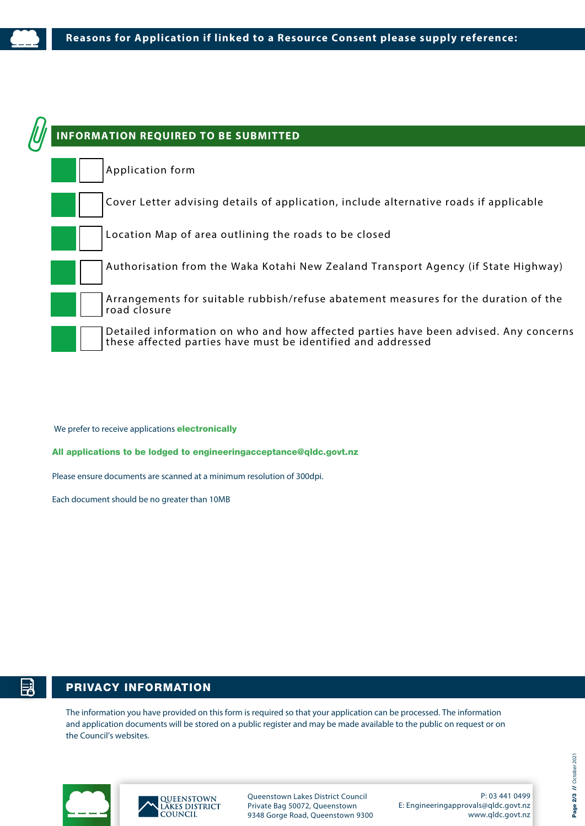

We prefer to receive applications **electronically** 

All applications to be lodged to engineeringacceptance@qldc.govt.nz

Please ensure documents are scanned at a minimum resolution of 300dpi.

Each document should be no greater than 10MB

## PRIVACY INFORMATION

The information you have provided on this form is required so that your application can be processed. The information and application documents will be stored on a public register and may be made available to the public on request or on the Council's websites.





Queenstown Lakes District Council Private Bag 50072, Queenstown 9348 Gorge Road, Queenstown 9300